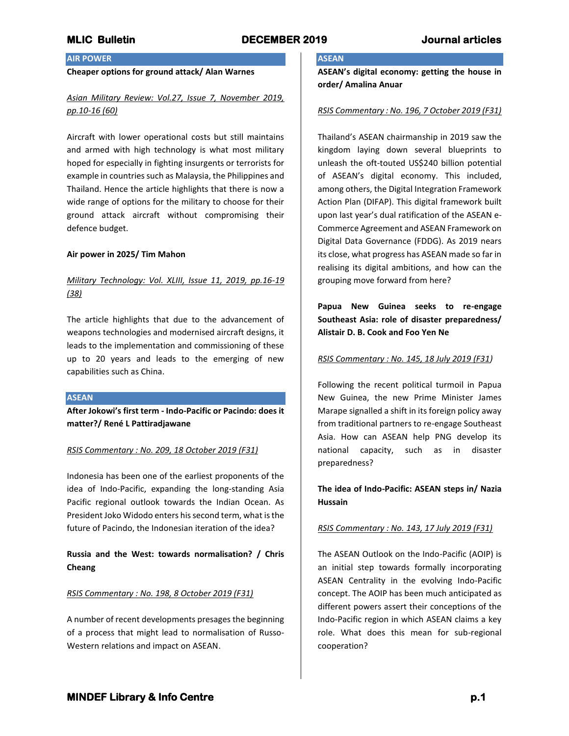# **AIR POWER**

## **Cheaper options for ground attack/ Alan Warnes**

# *Asian Military Review: Vol.27, Issue 7, November 2019, pp.10-16 (60)*

Aircraft with lower operational costs but still maintains and armed with high technology is what most military hoped for especially in fighting insurgents or terrorists for example in countries such as Malaysia, the Philippines and Thailand. Hence the article highlights that there is now a wide range of options for the military to choose for their ground attack aircraft without compromising their defence budget.

### **Air power in 2025/ Tim Mahon**

# *Military Technology: Vol. XLIII, Issue 11, 2019, pp.16-19 (38)*

The article highlights that due to the advancement of weapons technologies and modernised aircraft designs, it leads to the implementation and commissioning of these up to 20 years and leads to the emerging of new capabilities such as China.

### **ASEAN**

**After Jokowi's first term - Indo-Pacific or Pacindo: does it matter?/ René L Pattiradjawane**

## *RSIS Commentary : No. 209, 18 October 2019 (F31)*

Indonesia has been one of the earliest proponents of the idea of Indo-Pacific, expanding the long-standing Asia Pacific regional outlook towards the Indian Ocean. As President Joko Widodo enters his second term, what is the future of Pacindo, the Indonesian iteration of the idea?

**Russia and the West: towards normalisation? / Chris Cheang**

### *RSIS Commentary : No. 198, 8 October 2019 (F31)*

A number of recent developments presages the beginning of a process that might lead to normalisation of Russo-Western relations and impact on ASEAN.

## **ASEAN**

**ASEAN's digital economy: getting the house in order/ Amalina Anuar**

### *RSIS Commentary : No. 196, 7 October 2019 (F31)*

Thailand's ASEAN chairmanship in 2019 saw the kingdom laying down several blueprints to unleash the oft-touted US\$240 billion potential of ASEAN's digital economy. This included, among others, the Digital Integration Framework Action Plan (DIFAP). This digital framework built upon last year's dual ratification of the ASEAN e-Commerce Agreement and ASEAN Framework on Digital Data Governance (FDDG). As 2019 nears its close, what progress has ASEAN made so far in realising its digital ambitions, and how can the grouping move forward from here?

**Papua New Guinea seeks to re-engage Southeast Asia: role of disaster preparedness/ Alistair D. B. Cook and Foo Yen Ne**

### *RSIS Commentary : No. 145, 18 July 2019 (F31)*

Following the recent political turmoil in Papua New Guinea, the new Prime Minister James Marape signalled a shift in its foreign policy away from traditional partners to re-engage Southeast Asia. How can ASEAN help PNG develop its national capacity, such as in disaster preparedness?

# **The idea of Indo-Pacific: ASEAN steps in/ Nazia Hussain**

## *RSIS Commentary : No. 143, 17 July 2019 (F31)*

The ASEAN Outlook on the Indo-Pacific (AOIP) is an initial step towards formally incorporating ASEAN Centrality in the evolving Indo-Pacific concept. The AOIP has been much anticipated as different powers assert their conceptions of the Indo-Pacific region in which ASEAN claims a key role. What does this mean for sub-regional cooperation?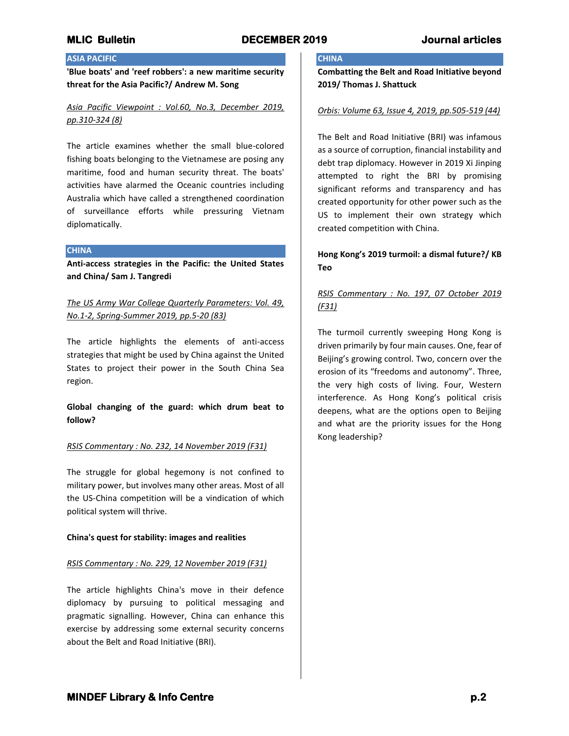# **ASIA PACIFIC**

**'Blue boats' and 'reef robbers': a new maritime security threat for the Asia Pacific?/ Andrew M. Song**

*Asia Pacific Viewpoint : Vol.60, No.3, December 2019, pp.310-324 (8)*

The article examines whether the small blue-colored fishing boats belonging to the Vietnamese are posing any maritime, food and human security threat. The boats' activities have alarmed the Oceanic countries including Australia which have called a strengthened coordination of surveillance efforts while pressuring Vietnam diplomatically.

## **CHINA**

**Anti-access strategies in the Pacific: the United States and China/ Sam J. Tangredi**

*The US Army War College Quarterly Parameters: Vol. 49, No.1-2, Spring-Summer 2019, pp.5-20 (83)*

The article highlights the elements of anti-access strategies that might be used by China against the United States to project their power in the South China Sea region.

**Global changing of the guard: which drum beat to follow?**

## *RSIS Commentary : No. 232, 14 November 2019 (F31)*

The struggle for global hegemony is not confined to military power, but involves many other areas. Most of all the US-China competition will be a vindication of which political system will thrive.

## **China's quest for stability: images and realities**

## *RSIS Commentary : No. 229, 12 November 2019 (F31)*

The article highlights China's move in their defence diplomacy by pursuing to political messaging and pragmatic signalling. However, China can enhance this exercise by addressing some external security concerns about the Belt and Road Initiative (BRI).

# **CHINA**

**Combatting the Belt and Road Initiative beyond 2019/ Thomas J. Shattuck**

## *Orbis: Volume 63, Issue 4, 2019, pp.505-519 (44)*

The Belt and Road Initiative (BRI) was infamous as a source of corruption, financial instability and debt trap diplomacy. However in 2019 Xi Jinping attempted to right the BRI by promising significant reforms and transparency and has created opportunity for other power such as the US to implement their own strategy which created competition with China.

# **Hong Kong's 2019 turmoil: a dismal future?/ KB Teo**

# *RSIS Commentary : No. 197, 07 October 2019 (F31)*

The turmoil currently sweeping Hong Kong is driven primarily by four main causes. One, fear of Beijing's growing control. Two, concern over the erosion of its "freedoms and autonomy". Three, the very high costs of living. Four, Western interference. As Hong Kong's political crisis deepens, what are the options open to Beijing and what are the priority issues for the Hong Kong leadership?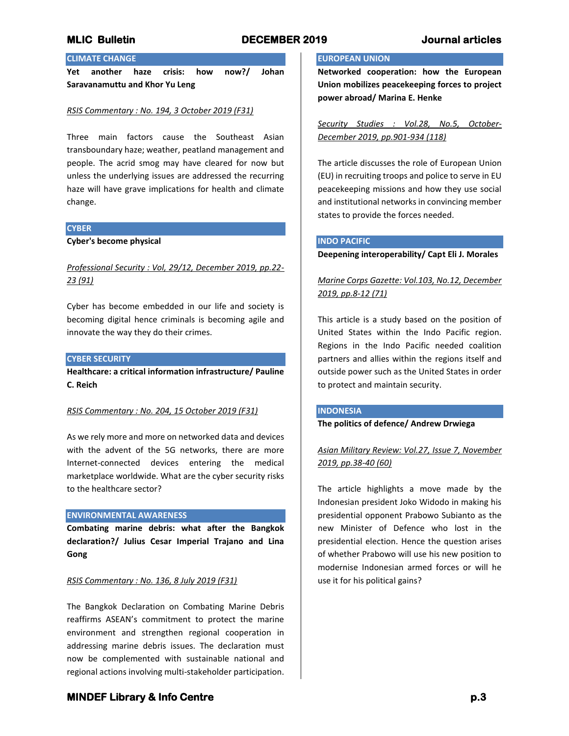# **CLIMATE CHANGE**

**Yet another haze crisis: how now?/ Johan Saravanamuttu and Khor Yu Leng**

### *RSIS Commentary : No. 194, 3 October 2019 (F31)*

Three main factors cause the Southeast Asian transboundary haze; weather, peatland management and people. The acrid smog may have cleared for now but unless the underlying issues are addressed the recurring haze will have grave implications for health and climate change.

### **CYBER**

**Cyber's become physical**

# *Professional Security : Vol, 29/12, December 2019, pp.22- 23 (91)*

Cyber has become embedded in our life and society is becoming digital hence criminals is becoming agile and innovate the way they do their crimes.

## **CYBER SECURITY**

**Healthcare: a critical information infrastructure/ Pauline C. Reich**

### *RSIS Commentary : No. 204, 15 October 2019 (F31)*

As we rely more and more on networked data and devices with the advent of the 5G networks, there are more Internet-connected devices entering the medical marketplace worldwide. What are the cyber security risks to the healthcare sector?

### **ENVIRONMENTAL AWARENESS**

**Combating marine debris: what after the Bangkok declaration?/ Julius Cesar Imperial Trajano and Lina Gong**

### *RSIS Commentary : No. 136, 8 July 2019 (F31)*

The Bangkok Declaration on Combating Marine Debris reaffirms ASEAN's commitment to protect the marine environment and strengthen regional cooperation in addressing marine debris issues. The declaration must now be complemented with sustainable national and regional actions involving multi-stakeholder participation.

# **EUROPEAN UNION**

**Networked cooperation: how the European Union mobilizes peacekeeping forces to project power abroad/ Marina E. Henke**

*Security Studies : Vol.28, No.5, October-December 2019, pp.901-934 (118)*

The article discusses the role of European Union (EU) in recruiting troops and police to serve in EU peacekeeping missions and how they use social and institutional networks in convincing member states to provide the forces needed.

### **INDO PACIFIC**

**Deepening interoperability/ Capt Eli J. Morales**

# *Marine Corps Gazette: Vol.103, No.12, December 2019, pp.8-12 (71)*

This article is a study based on the position of United States within the Indo Pacific region. Regions in the Indo Pacific needed coalition partners and allies within the regions itself and outside power such as the United States in order to protect and maintain security.

### **INDONESIA**

## **The politics of defence/ Andrew Drwiega**

*Asian Military Review: Vol.27, Issue 7, November 2019, pp.38-40 (60)*

The article highlights a move made by the Indonesian president Joko Widodo in making his presidential opponent Prabowo Subianto as the new Minister of Defence who lost in the presidential election. Hence the question arises of whether Prabowo will use his new position to modernise Indonesian armed forces or will he use it for his political gains?

# **MINDEF Library & Info Centre** *p.3* **p.3**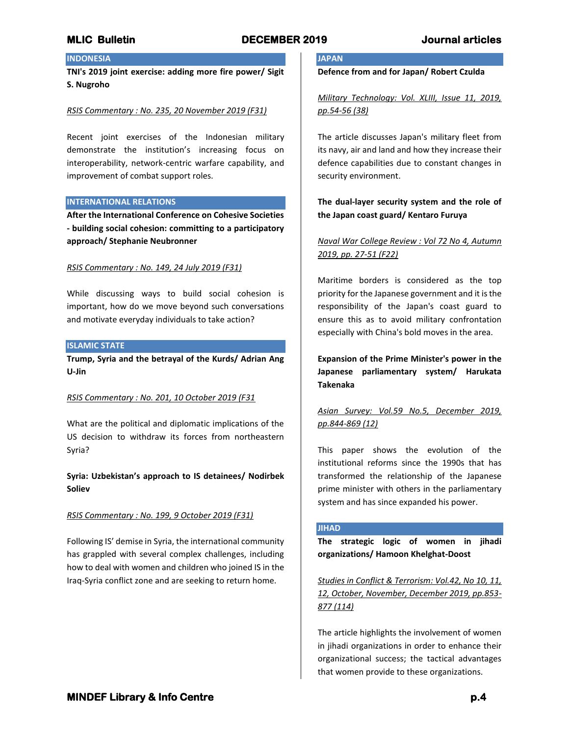# **INDONESIA**

**TNI's 2019 joint exercise: adding more fire power/ Sigit S. Nugroho**

## *RSIS Commentary : No. 235, 20 November 2019 (F31)*

Recent joint exercises of the Indonesian military demonstrate the institution's increasing focus on interoperability, network-centric warfare capability, and improvement of combat support roles.

## **INTERNATIONAL RELATIONS**

**After the International Conference on Cohesive Societies - building social cohesion: committing to a participatory approach/ Stephanie Neubronner**

## *RSIS Commentary : No. 149, 24 July 2019 (F31)*

While discussing ways to build social cohesion is important, how do we move beyond such conversations and motivate everyday individuals to take action?

## **ISLAMIC STATE**

**Trump, Syria and the betrayal of the Kurds/ Adrian Ang U-Jin**

## *RSIS Commentary : No. 201, 10 October 2019 (F31*

What are the political and diplomatic implications of the US decision to withdraw its forces from northeastern Syria?

**Syria: Uzbekistan's approach to IS detainees/ Nodirbek Soliev**

## *RSIS Commentary : No. 199, 9 October 2019 (F31)*

Following IS' demise in Syria, the international community has grappled with several complex challenges, including how to deal with women and children who joined IS in the Iraq-Syria conflict zone and are seeking to return home.

# **JAPAN**

**Defence from and for Japan/ Robert Czulda**

*Military Technology: Vol. XLIII, Issue 11, 2019, pp.54-56 (38)*

The article discusses Japan's military fleet from its navy, air and land and how they increase their defence capabilities due to constant changes in security environment.

# **The dual-layer security system and the role of the Japan coast guard/ Kentaro Furuya**

# *Naval War College Review : Vol 72 No 4, Autumn 2019, pp. 27-51 (F22)*

Maritime borders is considered as the top priority for the Japanese government and it is the responsibility of the Japan's coast guard to ensure this as to avoid military confrontation especially with China's bold moves in the area.

**Expansion of the Prime Minister's power in the Japanese parliamentary system/ Harukata Takenaka**

# *Asian Survey: Vol.59 No.5, December 2019, pp.844-869 (12)*

This paper shows the evolution of the institutional reforms since the 1990s that has transformed the relationship of the Japanese prime minister with others in the parliamentary system and has since expanded his power.

## **JIHAD**

**The strategic logic of women in jihadi organizations/ Hamoon Khelghat-Doost**

*Studies in Conflict & Terrorism: Vol.42, No 10, 11, 12, October, November, December 2019, pp.853- 877 (114)*

The article highlights the involvement of women in jihadi organizations in order to enhance their organizational success; the tactical advantages that women provide to these organizations.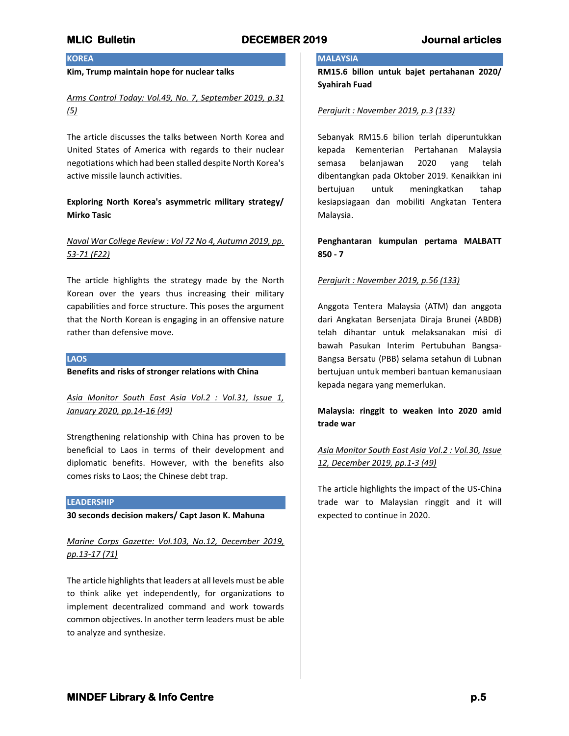# **KOREA**

## **Kim, Trump maintain hope for nuclear talks**

# *Arms Control Today: Vol.49, No. 7, September 2019, p.31 (5)*

The article discusses the talks between North Korea and United States of America with regards to their nuclear negotiations which had been stalled despite North Korea's active missile launch activities.

# **Exploring North Korea's asymmetric military strategy/ Mirko Tasic**

# *Naval War College Review : Vol 72 No 4, Autumn 2019, pp. 53-71 (F22)*

The article highlights the strategy made by the North Korean over the years thus increasing their military capabilities and force structure. This poses the argument that the North Korean is engaging in an offensive nature rather than defensive move.

## **LAOS**

**Benefits and risks of stronger relations with China**

*Asia Monitor South East Asia Vol.2 : Vol.31, Issue 1, January 2020, pp.14-16 (49)*

Strengthening relationship with China has proven to be beneficial to Laos in terms of their development and diplomatic benefits. However, with the benefits also comes risks to Laos; the Chinese debt trap.

## **LEADERSHIP**

**30 seconds decision makers/ Capt Jason K. Mahuna**

*Marine Corps Gazette: Vol.103, No.12, December 2019, pp.13-17 (71)*

The article highlights that leaders at all levels must be able to think alike yet independently, for organizations to implement decentralized command and work towards common objectives. In another term leaders must be able to analyze and synthesize.

## **MALAYSIA**

**RM15.6 bilion untuk bajet pertahanan 2020/ Syahirah Fuad**

### *Perajurit : November 2019, p.3 (133)*

Sebanyak RM15.6 bilion terlah diperuntukkan kepada Kementerian Pertahanan Malaysia semasa belanjawan 2020 yang telah dibentangkan pada Oktober 2019. Kenaikkan ini bertujuan untuk meningkatkan tahap kesiapsiagaan dan mobiliti Angkatan Tentera Malaysia.

**Penghantaran kumpulan pertama MALBATT 850 - 7**

## *Perajurit : November 2019, p.56 (133)*

Anggota Tentera Malaysia (ATM) dan anggota dari Angkatan Bersenjata Diraja Brunei (ABDB) telah dihantar untuk melaksanakan misi di bawah Pasukan Interim Pertubuhan Bangsa-Bangsa Bersatu (PBB) selama setahun di Lubnan bertujuan untuk memberi bantuan kemanusiaan kepada negara yang memerlukan.

## **Malaysia: ringgit to weaken into 2020 amid trade war**

# *Asia Monitor South East Asia Vol.2 : Vol.30, Issue 12, December 2019, pp.1-3 (49)*

The article highlights the impact of the US-China trade war to Malaysian ringgit and it will expected to continue in 2020.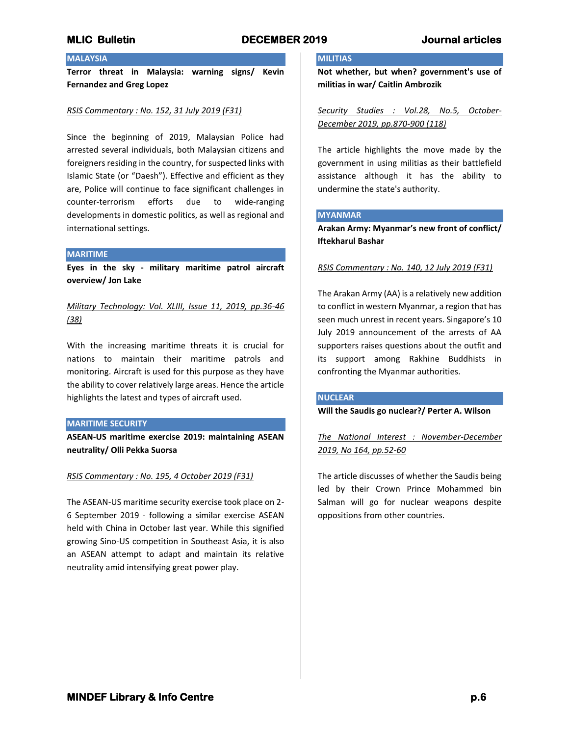# **MALAYSIA**

**Terror threat in Malaysia: warning signs/ Kevin Fernandez and Greg Lopez**

## *RSIS Commentary : No. 152, 31 July 2019 (F31)*

Since the beginning of 2019, Malaysian Police had arrested several individuals, both Malaysian citizens and foreigners residing in the country, for suspected links with Islamic State (or "Daesh"). Effective and efficient as they are, Police will continue to face significant challenges in counter-terrorism efforts due to wide-ranging developments in domestic politics, as well as regional and international settings.

### **MARITIME**

**Eyes in the sky - military maritime patrol aircraft overview/ Jon Lake**

*Military Technology: Vol. XLIII, Issue 11, 2019, pp.36-46 (38)*

With the increasing maritime threats it is crucial for nations to maintain their maritime patrols and monitoring. Aircraft is used for this purpose as they have the ability to cover relatively large areas. Hence the article highlights the latest and types of aircraft used.

### **MARITIME SECURITY**

**ASEAN-US maritime exercise 2019: maintaining ASEAN neutrality/ Olli Pekka Suorsa**

## *RSIS Commentary : No. 195, 4 October 2019 (F31)*

The ASEAN-US maritime security exercise took place on 2- 6 September 2019 - following a similar exercise ASEAN held with China in October last year. While this signified growing Sino-US competition in Southeast Asia, it is also an ASEAN attempt to adapt and maintain its relative neutrality amid intensifying great power play.

## **MILITIAS**

**Not whether, but when? government's use of militias in war/ Caitlin Ambrozik**

*Security Studies : Vol.28, No.5, October-December 2019, pp.870-900 (118)*

The article highlights the move made by the government in using militias as their battlefield assistance although it has the ability to undermine the state's authority.

## **MYANMAR**

**Arakan Army: Myanmar's new front of conflict/ Iftekharul Bashar**

*RSIS Commentary : No. 140, 12 July 2019 (F31)*

The Arakan Army (AA) is a relatively new addition to conflict in western Myanmar, a region that has seen much unrest in recent years. Singapore's 10 July 2019 announcement of the arrests of AA supporters raises questions about the outfit and its support among Rakhine Buddhists in confronting the Myanmar authorities.

## **NUCLEAR**

**Will the Saudis go nuclear?/ Perter A. Wilson**

*The National Interest : November-December 2019, No 164, pp.52-60*

The article discusses of whether the Saudis being led by their Crown Prince Mohammed bin Salman will go for nuclear weapons despite oppositions from other countries.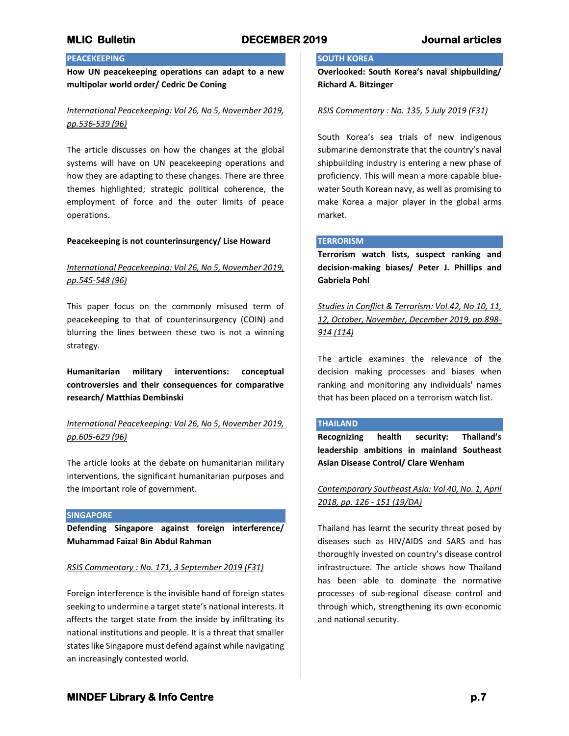# **PEACEKEEPING**

**How UN peacekeeping operations can adapt to a new multipolar world order/ Cedric De Coning**

# *International Peacekeeping: Vol 26, No 5, November 2019, pp.536-539 (96)*

The article discusses on how the changes at the global systems will have on UN peacekeeping operations and how they are adapting to these changes. There are three themes highlighted; strategic political coherence, the employment of force and the outer limits of peace operations.

## **Peacekeeping is not counterinsurgency/ Lise Howard**

# *International Peacekeeping: Vol 26, No 5, November 2019, pp.545-548 (96)*

This paper focus on the commonly misused term of peacekeeping to that of counterinsurgency (COIN) and blurring the lines between these two is not a winning strategy.

**Humanitarian military interventions: conceptual controversies and their consequences for comparative research/ Matthias Dembinski**

# *International Peacekeeping: Vol 26, No 5, November 2019, pp.605-629 (96)*

The article looks at the debate on humanitarian military interventions, the significant humanitarian purposes and the important role of government.

## **SINGAPORE**

**Defending Singapore against foreign interference/ Muhammad Faizal Bin Abdul Rahman**

## *RSIS Commentary : No. 171, 3 September 2019 (F31)*

Foreign interference is the invisible hand of foreign states seeking to undermine a target state's national interests. It affects the target state from the inside by infiltrating its national institutions and people. It is a threat that smaller states like Singapore must defend against while navigating an increasingly contested world.

## **SOUTH KOREA**

**Overlooked: South Korea's naval shipbuilding/ Richard A. Bitzinger**

## *RSIS Commentary : No. 135, 5 July 2019 (F31)*

South Korea's sea trials of new indigenous submarine demonstrate that the country's naval shipbuilding industry is entering a new phase of proficiency. This will mean a more capable bluewater South Korean navy, as well as promising to make Korea a major player in the global arms market.

## **TERRORISM**

**Terrorism watch lists, suspect ranking and decision-making biases/ Peter J. Phillips and Gabriela Pohl**

*Studies in Conflict & Terrorism: Vol.42, No 10, 11, 12, October, November, December 2019, pp.898- 914 (114)*

The article examines the relevance of the decision making processes and biases when ranking and monitoring any individuals' names that has been placed on a terrorism watch list.

## **THAILAND**

**Recognizing health security: Thailand's leadership ambitions in mainland Southeast Asian Disease Control/ Clare Wenham**

*Contemporary Southeast Asia: Vol 40, No. 1, April 2018, pp. 126 - 151 (19/DA)*

Thailand has learnt the security threat posed by diseases such as HIV/AIDS and SARS and has thoroughly invested on country's disease control infrastructure. The article shows how Thailand has been able to dominate the normative processes of sub-regional disease control and through which, strengthening its own economic and national security.